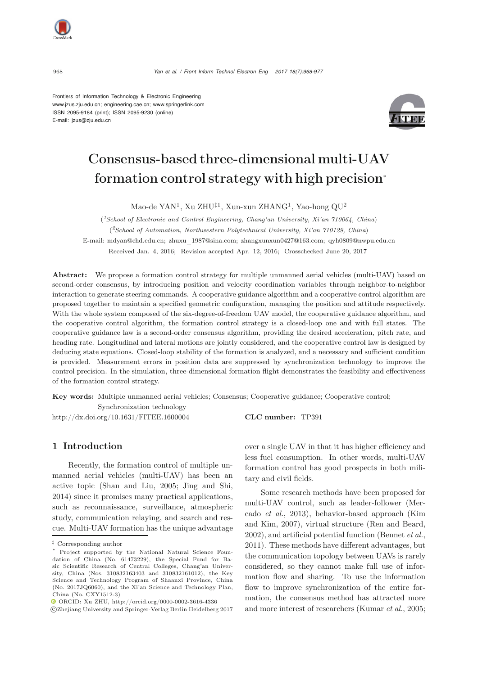Frontiers of Information Technology & Electronic Engineering www.jzus.zju.edu.cn; engineering.cae.cn; www.springerlink.com ISSN 2095-9184 (print); ISSN 2095-9230 (online) E-mail: jzus@zju.edu.cn



# Consensus-based three-dimensional multi-UAV formation control strategy with high precision<sup>∗</sup>

Mao-de YAN<sup>1</sup>, Xu ZHU‡<sup>1</sup>, Xun-xun ZHANG<sup>1</sup>, Yao-hong QU<sup>2</sup>

(*1School of Electronic and Control Engineering, Chang'an University, Xi'an 710064, China*) (*2School of Automation, Northwestern Polytechnical University, Xi'an 710129, China*) E-mail: mdyan@chd.edu.cn; zhuxu\_1987@sina.com; zhangxunxun0427@163.com; qyh0809@nwpu.edu.cn Received Jan. 4, 2016; Revision accepted Apr. 12, 2016; Crosschecked June 20, 2017

Abstract: We propose a formation control strategy for multiple unmanned aerial vehicles (multi-UAV) based on second-order consensus, by introducing position and velocity coordination variables through neighbor-to-neighbor interaction to generate steering commands. A cooperative guidance algorithm and a cooperative control algorithm are proposed together to maintain a specified geometric configuration, managing the position and attitude respectively. With the whole system composed of the six-degree-of-freedom UAV model, the cooperative guidance algorithm, and the cooperative control algorithm, the formation control strategy is a closed-loop one and with full states. The cooperative guidance law is a second-order consensus algorithm, providing the desired acceleration, pitch rate, and heading rate. Longitudinal and lateral motions are jointly considered, and the cooperative control law is designed by deducing state equations. Closed-loop stability of the formation is analyzed, and a necessary and sufficient condition is provided. Measurement errors in position data are suppressed by synchronization technology to improve the control precision. In the simulation, three-dimensional formation flight demonstrates the feasibility and effectiveness of the formation control strategy.

Key words: Multiple unmanned aerial vehicles; Consensus; Cooperative guidance; Cooperative control;

Synchronization technology http://dx.doi.org/10.1631/FITEE.1600004 **CLC number:** TP391

## 1 Introduction

Recently, the formation control of multiple unmanned aerial vehicles (multi-UAV) has been an active topic [\(Shan and Liu, 2005;](#page-9-0) [Jing and Shi](#page-9-1), [2014](#page-9-1)) since it promises many practical applications, such as reconnaissance, surveillance, atmospheric study, communication relaying, and search and rescue. Multi-UAV formation has the unique advantage over a single UAV in that it has higher efficiency and less fuel consumption. In other words, multi-UAV formation control has good prospects in both military and civil fields.

Some research methods have been proposed for multi-UAV [control,](#page-9-2) [such](#page-9-2) [as](#page-9-2) [leader-follower](#page-9-2) [\(](#page-9-2)Mercado *et al.*[,](#page-9-3) [2013](#page-9-2)[\),](#page-9-3) [behavior-based](#page-9-3) [approach](#page-9-3) [\(](#page-9-3)Kim and Kim, [2007](#page-9-3)), virtual structure [\(Ren and Beard](#page-9-4), [2002](#page-9-4)), and artificial potential function [\(Bennet](#page-9-5) *et al.*, [2011](#page-9-5)). These methods have different advantages, but the communication topology between UAVs is rarely considered, so they cannot make full use of information flow and sharing. To use the information flow to improve synchronization of the entire formation, the consensus method has attracted more and more interest of researchers [\(Kumar](#page-9-6) *et al.*, [2005;](#page-9-6)

<sup>‡</sup> Corresponding author

Project supported by the National Natural Science Foundation of China (No. 61473229), the Special Fund for Basic Scientific Research of Central Colleges, Chang'an University, China (Nos. 310832163403 and 310832161012), the Key Science and Technology Program of Shaanxi Province, China (No. 2017JQ6060), and the Xi'an Science and Technology Plan, China (No. CXY1512-3)

ORCID: Xu ZHU, http://orcid.org/0000-0002-3616-4336

c Zhejiang University and Springer-Verlag Berlin Heidelberg 2017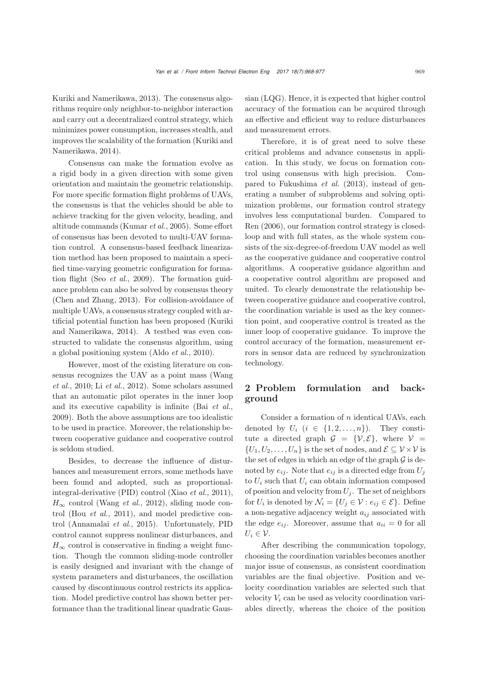[Kuriki and Namerikawa](#page-9-7), [2013\)](#page-9-7). The consensus algorithms require only neighbor-to-neighbor interaction and carry out a decentralized control strategy, which minimizes power consumption, increases stealth, and improves th[e](#page-9-8) [scalability](#page-9-8) [of](#page-9-8) [the](#page-9-8) [formation](#page-9-8) [\(](#page-9-8)Kuriki and Namerikawa, [2014](#page-9-8)).

Consensus can make the formation evolve as a rigid body in a given direction with some given orientation and maintain the geometric relationship. For more specific formation flight problems of UAVs, the consensus is that the vehicles should be able to achieve tracking for the given velocity, heading, and altitude commands [\(Kumar](#page-9-6) *et al.*, [2005\)](#page-9-6). Some effort of consensus has been devoted to multi-UAV formation control. A consensus-based feedback linearization method has been proposed to maintain a specified time-varying geometric configuration for formation flight (Seo *[et al.](#page-9-9)*, [2009](#page-9-9)). The formation guidance problem can also be solved by consensus theory [\(Chen and Zhang](#page-9-10), [2013](#page-9-10)). For collision-avoidance of multiple UAVs, a consensus strategy coupled with artificial potential [function](#page-9-8) [has](#page-9-8) [been](#page-9-8) [proposed](#page-9-8) [\(](#page-9-8)Kuriki and Namerikawa, [2014\)](#page-9-8). A testbed was even constructed to validate the consensus algorithm, using a global positioning system [\(Aldo](#page-9-11) *et al.*, [2010\)](#page-9-11).

However, most of the existing literature on consens[us](#page-9-12) [recognizes](#page-9-12) [the](#page-9-12) [UAV](#page-9-12) [as](#page-9-12) [a](#page-9-12) [point](#page-9-12) [mass](#page-9-12) [\(](#page-9-12)Wang *et al.*, [2010](#page-9-12); Li *[et al.](#page-9-13)*, [2012\)](#page-9-13). Some scholars assumed that an automatic pilot operates in the inner loop and its executive capability is infinite (Bai *[et al.](#page-9-14)*, [2009](#page-9-14)). Both the above assumptions are too idealistic to be used in practice. Moreover, the relationship between cooperative guidance and cooperative control is seldom studied.

Besides, to decrease the influence of disturbances and measurement errors, some methods have been found and adopted, such as proportionalintegral-derivative (PID) control [\(Xiao](#page-9-15) *et al.*, [2011\)](#page-9-15),  $H_{\infty}$  control [\(Wang](#page-9-16) *et al.*, [2012\)](#page-9-16), sliding mode control (Hou *[et al.](#page-9-17)*, [2011](#page-9-17)), and model predictive control [\(Annamalai](#page-9-18) *et al.*, [2015](#page-9-18)). Unfortunately, PID control cannot suppress nonlinear disturbances, and  $H_{\infty}$  control is conservative in finding a weight function. Though the common sliding-mode controller is easily designed and invariant with the change of system parameters and disturbances, the oscillation caused by discontinuous control restricts its application. Model predictive control has shown better performance than the traditional linear quadratic Gaussian (LQG). Hence, it is expected that higher control accuracy of the formation can be acquired through an effective and efficient way to reduce disturbances and measurement errors.

Therefore, it is of great need to solve these critical problems and advance consensus in application. In this study, we focus on formation control using consensus with high precision. Compared to [Fukushima](#page-9-19) *et al.* [\(2013\)](#page-9-19), instead of generating a number of subproblems and solving optimization problems, our formation control strategy involves less computational burden. Compared to [Ren](#page-9-20) [\(2006](#page-9-20)), our formation control strategy is closedloop and with full states, as the whole system consists of the six-degree-of-freedom UAV model as well as the cooperative guidance and cooperative control algorithms. A cooperative guidance algorithm and a cooperative control algorithm are proposed and united. To clearly demonstrate the relationship between cooperative guidance and cooperative control, the coordination variable is used as the key connection point, and cooperative control is treated as the inner loop of cooperative guidance. To improve the control accuracy of the formation, measurement errors in sensor data are reduced by synchronization technology.

## 2 Problem formulation and background

Consider a formation of  $n$  identical UAVs, each denoted by  $U_i$   $(i \in \{1, 2, ..., n\})$ . They constitute a directed graph  $\mathcal{G} = \{V, \mathcal{E}\}\$ , where  $V =$  $\{U_1, U_2, \ldots, U_n\}$  is the set of nodes, and  $\mathcal{E} \subseteq \mathcal{V} \times \mathcal{V}$  is the set of edges in which an edge of the graph  $G$  is denoted by  $e_{ij}$ . Note that  $e_{ij}$  is a directed edge from  $U_j$ to  $U_i$  such that  $U_i$  can obtain information composed of position and velocity from  $U_i$ . The set of neighbors for  $U_i$  is denoted by  $\mathcal{N}_i = \{U_j \in \mathcal{V} : e_{ij} \in \mathcal{E}\}\.$  Define a non-negative adjacency weight  $a_{ij}$  associated with the edge  $e_{ij}$ . Moreover, assume that  $a_{ii} = 0$  for all  $U_i \in \mathcal{V}$ .

After describing the communication topology, choosing the coordination variables becomes another major issue of consensus, as consistent coordination variables are the final objective. Position and velocity coordination variables are selected such that velocity  $V_i$  can be used as velocity coordination variables directly, whereas the choice of the position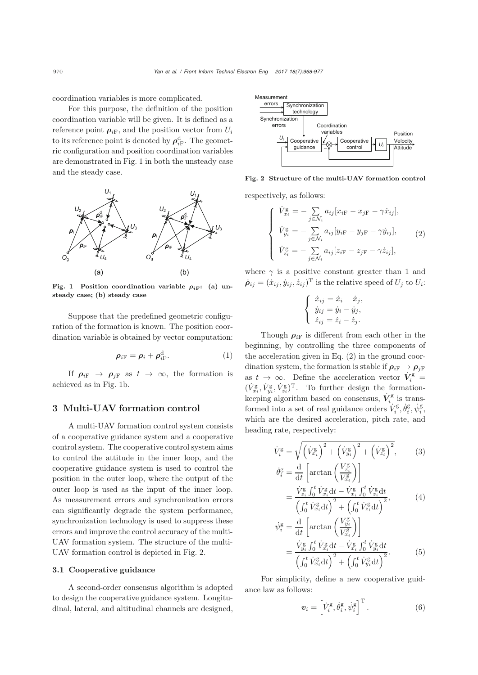coordination variables is more complicated.

For this purpose, the definition of the position coordination variable will be given. It is defined as a reference point  $\rho_{iF}$ , and the position vector from  $U_i$ to its reference point is denoted by  $\rho_{iF}^d$ . The geometric configuration and position coordination variables are demonstrated in Fig. 1 in both the unsteady case and the steady case.



Fig. 1 Position coordination variable  $\rho_{i}$ <sub>F</sub>: (a) unsteady case; (b) steady case

Suppose that the predefined geometric configuration of the formation is known. The position coordination variable is obtained by vector computation:

$$
\rho_{i\mathrm{F}} = \rho_i + \rho_{i\mathrm{F}}^{\mathrm{d}}.
$$
 (1)

If  $\rho_{iF} \rightarrow \rho_{iF}$  as  $t \rightarrow \infty$ , the formation is achieved as in Fig. 1b.

## 3 Multi-UAV formation control

A multi-UAV formation control system consists of a cooperative guidance system and a cooperative control system. The cooperative control system aims to control the attitude in the inner loop, and the cooperative guidance system is used to control the position in the outer loop, where the output of the outer loop is used as the input of the inner loop. As measurement errors and synchronization errors can significantly degrade the system performance, synchronization technology is used to suppress these errors and improve the control accuracy of the multi-UAV formation system. The structure of the multi-UAV formation control is depicted in Fig. 2.

#### 3.1 Cooperative guidance

A second-order consensus algorithm is adopted to design the cooperative guidance system. Longitudinal, lateral, and altitudinal channels are designed,



Fig. 2 Structure of the multi-UAV formation control

respectively, as follows:

$$
\begin{cases}\n\dot{V}_{x_i}^{\mathbf{g}} = -\sum_{j \in \mathcal{N}_i} a_{ij} [x_{i\mathbf{F}} - x_{j\mathbf{F}} - \gamma \dot{x}_{ij}], \\
\dot{V}_{y_i}^{\mathbf{g}} = -\sum_{j \in \mathcal{N}_i} a_{ij} [y_{i\mathbf{F}} - y_{j\mathbf{F}} - \gamma \dot{y}_{ij}], \\
\dot{V}_{z_i}^{\mathbf{g}} = -\sum_{j \in \mathcal{N}_i} a_{ij} [z_{i\mathbf{F}} - z_{j\mathbf{F}} - \gamma \dot{z}_{ij}],\n\end{cases}
$$
\n(2)

where  $\gamma$  is a positive constant greater than 1 and  $\dot{\rho}_{ij} = (\dot{x}_{ij}, \dot{y}_{ij}, \dot{z}_{ij})^{\mathrm{T}}$  is the relative speed of  $U_j$  to  $U_i$ :

$$
\begin{cases} \n\dot{x}_{ij} = \dot{x}_i - \dot{x}_j, \\ \n\dot{y}_{ij} = \dot{y}_i - \dot{y}_j, \\ \n\dot{z}_{ij} = \dot{z}_i - \dot{z}_j. \n\end{cases}
$$

Though  $\rho_{i\text{F}}$  is different from each other in the beginning, by controlling the three components of the acceleration given in Eq. (2) in the ground coordination system, the formation is stable if  $\rho_{i\text{F}} \rightarrow \rho_{i\text{F}}$ as  $t \to \infty$ . Define the acceleration vector  $\dot{V}_i^{\text{g}} =$  $(\dot{V}_{x_i}^{\text{g}}, \dot{V}_{y_i}^{\text{g}}, \dot{V}_{z_i}^{\text{g}})^{\text{T}}$ . To further design the formationkeeping algorithm based on consensus,  $\dot{\boldsymbol{V}}^{\mathrm{g}}_i$  is transformed into a set of real guidance orders  $\dot{V}^{\rm g}_i, \dot{\theta}^{\rm g}_i, \dot{\psi}^{\rm g}_i,$ which are the desired acceleration, pitch rate, and heading rate, respectively:

$$
\dot{V}_i^g = \sqrt{\left(\dot{V}_{x_i}^g\right)^2 + \left(\dot{V}_{y_i}^g\right)^2 + \left(\dot{V}_{z_i}^g\right)^2},\qquad(3)
$$
\n
$$
\dot{\theta}_i^g = \frac{d}{dt} \left[ \arctan\left(\frac{V_{z_i}^g}{V^g}\right) \right]
$$

$$
\begin{aligned}\n\tilde{i} &= \frac{d}{dt} \left[ \frac{\arctan\left(\frac{\overline{V}_{x_i}^g}{V_{x_i}^g}\right)}{\left(\int_0^t \dot{V}_{x_i}^g dt\right)^2 + \left(\int_0^t \dot{V}_{z_i}^g dt\right)^2},\n\end{aligned} \tag{4}
$$

$$
\psi_i^{\rm g} = \frac{\mathrm{d}}{\mathrm{d}t} \left[ \arctan\left(\frac{V_{y_i}^{\rm g}}{V_{x_i}^{\rm g}}\right) \right] \n= \frac{\dot{V}_{y_i}^{\rm g} \int_0^t \dot{V}_{x_i}^{\rm g} \mathrm{d}t - \dot{V}_{x_i}^{\rm g} \int_0^t \dot{V}_{y_i}^{\rm g} \mathrm{d}t}{\left(\int_0^t \dot{V}_{x_i}^{\rm g} \mathrm{d}t\right)^2 + \left(\int_0^t \dot{V}_{y_i}^{\rm g} \mathrm{d}t\right)^2}.
$$
\n(5)

For simplicity, define a new cooperative guidance law as follows:

$$
\boldsymbol{v}_{i} = \left[\dot{V}_{i}^{\text{g}}, \dot{\theta}_{i}^{\text{g}}, \dot{\psi}_{i}^{\text{g}}\right]^{\text{T}}.
$$
 (6)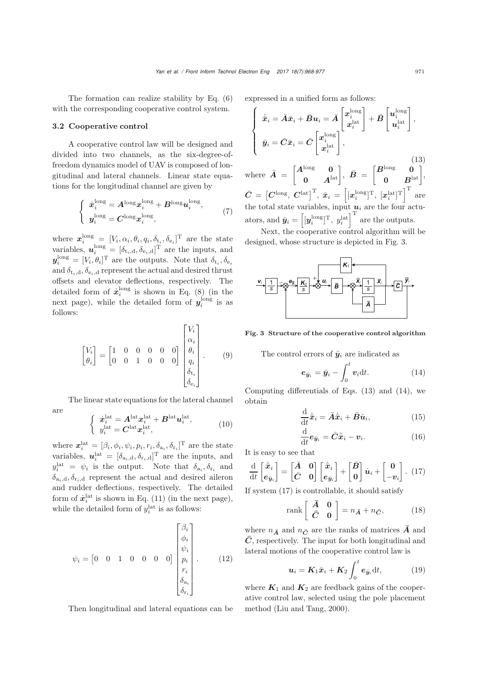The formation can realize stability by Eq. (6) with the corresponding cooperative control system.

#### 3.2 Cooperative control

A cooperative control law will be designed and divided into two channels, as the six-degree-offreedom dynamics model of UAV is composed of longitudinal and lateral channels. Linear state equations for the longitudinal channel are given by

$$
\begin{cases}\n\dot{x}_i^{\text{long}} = A^{\text{long}} x_i^{\text{long}} + B^{\text{long}} u_i^{\text{long}},\\ \ny_i^{\text{long}} = C^{\text{long}} x_i^{\text{long}},\n\end{cases} (7)
$$

where  $\boldsymbol{x}_i^{\text{long}} = [V_i, \alpha_i, \theta_i, q_i, \delta_{t_i}, \delta_{e_i}]^{\text{T}}$  are the state variables,  $\mathbf{u}_i^{\text{long}} = [\delta_{t_i,d}, \delta_{e_i,d}]^{\text{T}}$  are the inputs, and  $y_i^{\text{long}} = [V_i, \theta_i]^{\text{T}}$  are the outputs. Note that  $\delta_{\text{t}_i}, \delta_{\text{e}_i}$ and  $\delta_{t_i,d}, \delta_{e_i,d}$  represent the actual and desired thrust offsets and elevator deflections, respectively. The detailed form of  $\dot{x}_i^{\text{long}}$  is shown in Eq. (8) (in the next page), while the detailed form of  $y_i^{\text{long}}$  is as follows:

$$
\begin{bmatrix} V_i \\ \theta_i \end{bmatrix} = \begin{bmatrix} 1 & 0 & 0 & 0 & 0 & 0 \\ 0 & 0 & 1 & 0 & 0 & 0 \end{bmatrix} \begin{bmatrix} V_i \\ \alpha_i \\ \theta_i \\ q_i \\ \delta_{t_i} \\ \delta_{e_i} \end{bmatrix} .
$$
 (9)

The linear state equations for the lateral channel

are

$$
\begin{cases} \dot{\boldsymbol{x}}_i^{\mathrm{lat}} = \boldsymbol{A}^{\mathrm{lat}} \boldsymbol{x}_i^{\mathrm{lat}} + \boldsymbol{B}^{\mathrm{lat}} \boldsymbol{u}_i^{\mathrm{lat}}, \\ y_i^{\mathrm{lat}} = \boldsymbol{C}^{\mathrm{lat}} \boldsymbol{x}_i^{\mathrm{lat}}, \end{cases} (10)
$$

where  $\mathbf{x}_i^{\text{lat}} = [\beta_i, \phi_i, \psi_i, p_i, r_i, \delta_{a_i}, \delta_{r_i}]^{\text{T}}$  are the state variables,  $\mathbf{u}_i^{\text{lat}} = [\delta_{a_i,d}, \delta_{r_i,d}]^{\text{T}}$  are the inputs, and  $y_i^{\text{lat}} = \psi_i$  is the output. Note that  $\delta_{a_i}, \delta_{r_i}$  and  $\delta_{a_i,d}, \delta_{r_i,d}$  represent the actual and desired aileron and rudder deflections, respectively. The detailed form of  $\dot{x}_i^{\text{lat}}$  is shown in Eq. (11) (in the next page), while the detailed form of  $y_i^{\text{lat}}$  is as follows:

$$
\psi_{i} = \begin{bmatrix} 0 & 0 & 1 & 0 & 0 & 0 & 0 \end{bmatrix} \begin{bmatrix} \beta_{i} \\ \phi_{i} \\ \psi_{i} \\ p_{i} \\ r_{i} \\ \delta_{a_{i}} \\ \delta_{r_{i}} \end{bmatrix} .
$$
 (12)

Then longitudinal and lateral equations can be

expressed in a unified form as follows:

$$
\begin{cases}\n\dot{\bar{x}}_i = \bar{A}\bar{x}_i + \bar{B}u_i = \bar{A}\begin{bmatrix} x_i^{\text{long}} \\ x_i^{\text{lat}} \end{bmatrix} + \bar{B}\begin{bmatrix} u_i^{\text{long}} \\ u_i^{\text{lat}} \end{bmatrix}, \\
\bar{y}_i = \bar{C}\bar{x}_i = \bar{C}\begin{bmatrix} x_i^{\text{long}} \\ x_i^{\text{lat}} \end{bmatrix}, \\
\text{where } \bar{A} = \begin{bmatrix} A^{\text{long}} & 0 \\ 0 & A^{\text{lat}} \end{bmatrix}, \ \bar{B} = \begin{bmatrix} B^{\text{long}} & 0 \\ 0 & B^{\text{lat}} \end{bmatrix},\n\end{cases}
$$
\n(13)

 $\bar{C} \ =\ \left[C^{\text{long}},\; C^{\text{lat}}\right]^{\text{T}},\; \bar{x}_i \ =\ \left[\left[x_i^{\text{long}}\right]^{\text{T}},\; \left[x_i^{\text{lat}}\right]^{\text{T}}\right]^{\text{T}}\; \text{are}$ the total state variables, input  $\mathbf{u}_i$  are the four actuators, and  $\bar{y}_i = \left[ [\bm{y}_i^{\text{long}}]^{\text{T}}, y_i^{\text{lat}} \right]^{\text{T}}$  are the outputs.

Next, the cooperative control algorithm will be designed, whose structure is depicted in Fig. 3.



Fig. 3 Structure of the cooperative control algorithm

The control errors of  $\bar{y}_i$  are indicated as

$$
e_{\bar{y}_i} = \bar{y}_i - \int_0^t v_i dt.
$$
 (14)

Computing differentials of Eqs.  $(13)$  and  $(14)$ , we obtain

$$
\frac{\mathrm{d}}{\mathrm{d}t}\dot{\bar{x}}_i = \bar{A}\dot{\bar{x}}_i + \bar{B}\dot{u}_i,\tag{15}
$$

$$
\frac{\mathrm{d}}{\mathrm{d}t} \mathbf{e}_{\bar{\mathbf{y}}_i} = \bar{\mathbf{C}} \dot{\bar{\mathbf{x}}}_i - \mathbf{v}_i. \tag{16}
$$

It is easy to see that

$$
\frac{\mathrm{d}}{\mathrm{d}t} \begin{bmatrix} \dot{\bar{x}}_i \\ e_{\bar{y}_i} \end{bmatrix} = \begin{bmatrix} \bar{A} & 0 \\ \bar{C} & 0 \end{bmatrix} \begin{bmatrix} \dot{\bar{x}}_i \\ e_{\bar{y}_i} \end{bmatrix} + \begin{bmatrix} \bar{B} \\ 0 \end{bmatrix} \dot{u}_i + \begin{bmatrix} 0 \\ -v_i \end{bmatrix} . \tag{17}
$$

If system (17) is controllable, it should satisfy

$$
rank\left[\begin{array}{cc}\n\bar{A} & 0\\
\bar{C} & 0\n\end{array}\right] = n_{\bar{A}} + n_{\bar{C}},
$$
\n(18)

where  $n_{\bar{A}}$  and  $n_{\bar{C}}$  are the ranks of matrices  $\bar{A}$  and  $\bar{C}$ , respectively. The input for both longitudinal and lateral motions of the cooperative control law is

$$
\boldsymbol{u}_i = \boldsymbol{K}_1 \bar{\boldsymbol{x}}_i + \boldsymbol{K}_2 \int_0^t \boldsymbol{e}_{\bar{\boldsymbol{y}}_i} \mathrm{d}t,\tag{19}
$$

where  $K_1$  and  $K_2$  are feedback gains of the cooperative control law, selected using the pole placement method [\(Liu and Tang](#page-9-21), [2000](#page-9-21)).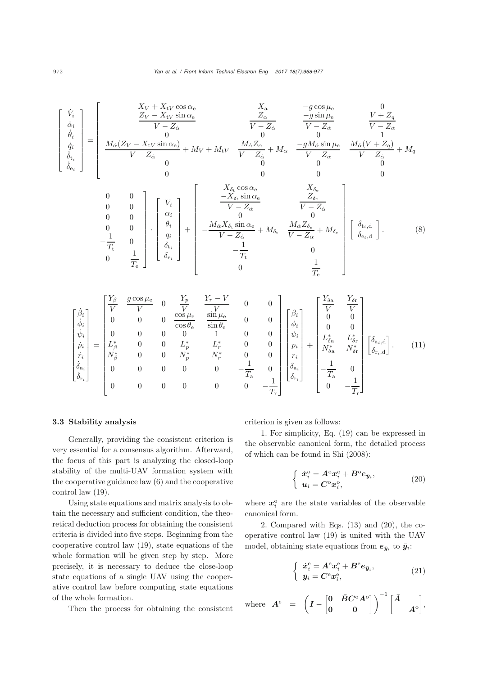$$
\left[\begin{array}{c} \dot{V}_i \\ \dot{\alpha}_i \\ \dot{\theta}_i \\ \dot{\theta}_i \\ \dot{\delta}_{\dot{e}_i} \\ \end{array}\right] = \left[\begin{array}{cccc} X_V + X_{\rm tV} \cos \alpha_{\rm e} & X_{\rm a} & -g \cos \mu_{\rm e} & 0 \\ Z_V - X_{\rm tV} \sin \alpha_{\rm e} & Z_{\alpha} & -g \sin \mu_{\rm e} & 0 \\ V - Z_{\dot{\alpha}} & \bar{V} - Z_{\dot{\alpha}} & \bar{V} - Z_{\dot{\alpha}} \\ 0 & 0 & 0 & 1 \\ \dot{\delta}_{\dot{e}_i} \\ \delta_{\dot{e}_i} \\ \end{array}\right] = \left[\begin{array}{cccc} X_V + X_{\rm tV} \cos \alpha_{\rm e} & X_{\rm a} & -g \cos \mu_{\rm e} & 0 \\ Z_V - Z_{\dot{\alpha}} & \bar{V} - Z_{\dot{\alpha}} & \bar{V} - Z_{\dot{\alpha}} \\ 0 & 0 & 0 & 1 \\ \bar{\delta}_{\dot{e}_i} \\ 0 & 0 & 0 & 0 \\ 0 & 0 & 0 & 0 \\ \end{array}\right. \label{eq:V1}
$$

$$
\begin{array}{cc}\n0 & 0 & 0 \\
0 & 0 & 0 \\
0 & 0 & 0 \\
0 & 0 & 0 \\
-\frac{1}{T_{\rm t}} & 0 & 0 \\
0 & -\frac{1}{T_{\rm e}}\n\end{array}\n\left[\n\begin{array}{c}\nV_i \\
\alpha_i \\
\alpha_i \\
\delta_{\epsilon_i}\n\end{array}\n\right]\n+\n\left[\n\begin{array}{c}\nX_{\delta_{\rm t}}\cos\alpha_{\rm e} & X_{\delta_{\rm e}} \\
-\frac{-X_{\delta_{\rm t}}\sin\alpha_{\rm e}}{V - Z_{\dot{\alpha}}} & \frac{Z_{\delta_{\rm e}}}{V - Z_{\dot{\alpha}}} \\
0 & 0 & 0 \\
V - Z_{\dot{\alpha}} & \frac{M_{\dot{\alpha}}Z_{\delta_{\rm e}}}{V - Z_{\dot{\alpha}}} + M_{\delta_{\rm e}} \\
-\frac{1}{T_{\rm t}} & 0 & 0 \\
0 & -\frac{1}{T_{\rm e}}\n\end{array}\n\right]\n\left[\n\begin{array}{c}\n\delta_{\rm t_i,d} \\
\delta_{\rm e_i,d}\n\end{array}\n\right].\n\tag{8}
$$

$$
\begin{bmatrix}\n\dot{\beta}_{i} \\
\dot{\phi}_{i} \\
\dot{\psi}_{i} \\
\dot{p}_{i} \\
\dot{\delta}_{i} \\
\dot{\delta}_{i} \\
\dot{\delta}_{r_{i}}\n\end{bmatrix} = \begin{bmatrix}\n\frac{Y_{\beta}}{V} & \frac{g \cos \mu_{e}}{V} & 0 & \frac{Y_{p}}{V} & \frac{Y_{r} - V}{V} & 0 & 0 \\
0 & 0 & 0 & \frac{\cos \mu_{e}}{\cos \theta_{e}} & \frac{\sin \mu_{e}}{\sin \theta_{e}} & 0 & 0 \\
0 & 0 & 0 & 0 & 1 & 0 & 0 \\
\frac{\dot{\nu}_{i}}{\dot{\gamma}_{i}} & \frac{V_{\beta}}{V} & \frac{V_{\gamma}}{V} & 0 & 0 \\
N_{\beta}^{*} & 0 & 0 & L_{p}^{*} & L_{r}^{*} & 0 & 0 \\
0 & 0 & 0 & N_{p}^{*} & N_{r}^{*} & 0 & 0 \\
0 & 0 & 0 & 0 & 0 & -\frac{1}{T_{a}} & 0 \\
0 & 0 & 0 & 0 & 0 & 0 & -\frac{1}{T_{r}}\n\end{bmatrix} \begin{bmatrix}\n\beta_{i} \\
\phi_{i} \\
\psi_{i} \\
p_{i} \\
\delta_{i} \\
\delta_{i} \\
\delta_{r_{i}}\n\end{bmatrix} + \begin{bmatrix}\n\frac{Y_{\delta a}}{V} & \frac{Y_{\delta r}}{V} \\
\frac{Y_{\delta a}}{V_{\delta a}} & \frac{Y_{\delta r}}{V} \\
\frac{Y_{\delta a}}{V_{\delta a}} & \frac{Y_{\delta r}}{V_{\delta r}} \\
\frac{Y_{\delta a}}{V_{\delta a}} & \frac{Y_{\delta r}}{V_{\delta a}}\n\end{bmatrix} .
$$
\n(11)

#### 3.3 Stability analysis

Generally, providing the consistent criterion is very essential for a consensus algorithm. Afterward, the focus of this part is analyzing the closed-loop stability of the multi-UAV formation system with the cooperative guidance law (6) and the cooperative control law (19).

Using state equations and matrix analysis to obtain the necessary and sufficient condition, the theoretical deduction process for obtaining the consistent criteria is divided into five steps. Beginning from the cooperative control law (19), state equations of the whole formation will be given step by step. More precisely, it is necessary to deduce the close-loop state equations of a single UAV using the cooperative control law before computing state equations of the whole formation.

Then the process for obtaining the consistent

criterion is given as follows:

1. For simplicity, Eq. (19) can be expressed in the observable canonical form, the detailed process of which can be found in [Shi](#page-9-22) [\(2008](#page-9-22)):

$$
\begin{cases} \dot{\boldsymbol{x}}_i^{\mathrm{o}} = A^{\mathrm{o}} \boldsymbol{x}_i^{\mathrm{o}} + B^{\mathrm{o}} \boldsymbol{e}_{\bar{y}_i}, \\ \boldsymbol{u}_i = C^{\mathrm{o}} \boldsymbol{x}_i^{\mathrm{o}}, \end{cases} \tag{20}
$$

where  $x_i^{\circ}$  are the state variables of the observable canonical form.

2. Compared with Eqs. (13) and (20), the cooperative control law (19) is united with the UAV model, obtaining state equations from  $e_{\bar{y}_i}$  to  $\bar{y}_i$ :

$$
\begin{cases} \dot{x}_i^e = A^e x_i^e + B^e e_{\bar{y}_i}, \\ \bar{y}_i = C^e x_i^e, \end{cases}
$$
 (21)

 $\bm{A}^{\text{e}} \;\; = \;\; \left(\bm{I} - \begin{bmatrix} \bm{0} & \bar{\bm{B}} \bm{C}^{\text{o}} \bm{A}^{\text{o}} \ \bm{0} \end{bmatrix} \right)^{-1} \left[\vec{A}\right]$ *A*<sup>o</sup> ,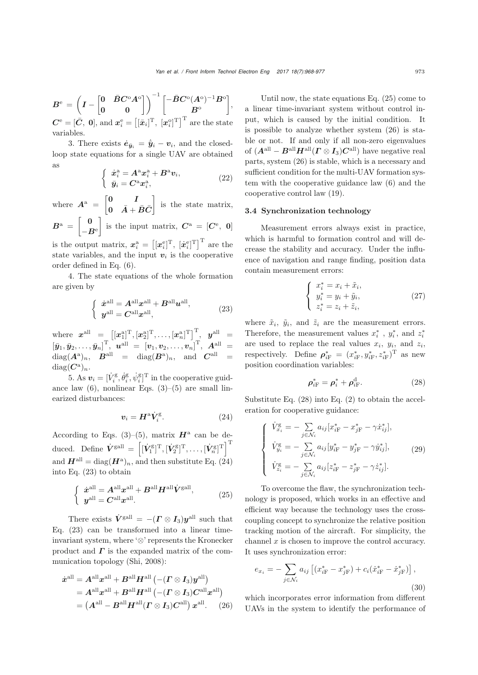$B^{\rm e} = \left(I - \begin{bmatrix} 0 & \bar B C^{\rm o} A^{\rm o} \ 0 & 0 \end{bmatrix} \right)^{-1} \begin{bmatrix} -\bar B C^{\rm o} (A^{\rm o})^{-1} B^{\rm o} \ B^{\rm o} \end{bmatrix}$ *B*<sup>o</sup> ,  $C^{\text{e}} = [\bar{C}, 0]$ , and  $\boldsymbol{x}_{i}^{\text{e}} = [[\bar{x}_{i}]^{\text{T}}, [x_{i}^{\text{o}}]^{\text{T}}]^{\text{T}}$  are the state variables.

3. There exists  $\dot{\mathbf{e}}_{\bar{\mathbf{y}}_i} = \dot{\bar{\mathbf{y}}}_i - \mathbf{v}_i$ , and the closedloop state equations for a single UAV are obtained as

$$
\begin{cases} \dot{x}_i^{\rm a} = A^{\rm a} x_i^{\rm a} + B^{\rm a} v_i, \\ \bar{y}_i = C^{\rm a} x_i^{\rm a}, \end{cases} \tag{22}
$$

where  $A^{\text{a}} = \begin{bmatrix} 0 & I \\ 0 & \bar{A} \end{bmatrix}$  $\bar{\bm{0}}$   $\bar{\bm{A}} + \bar{\bm{B}} \bar{\bm{C}}$ is the state matrix,

 $B^{\mathrm{a}} = \left[ \begin{array}{c} 0 \ 0 \end{array} \right]$  $-B^e$ is the input matrix,  $C^{\mathbf{a}} = [C^{\mathbf{e}}, 0]$ 

is the output matrix,  $\mathbf{x}_i^{\mathbf{a}} = \left[ [\mathbf{x}_i^{\mathbf{e}}]^{\mathrm{T}}, [\dot{\mathbf{x}}_i^{\mathbf{e}}]^{\mathrm{T}} \right]^{\mathrm{T}}$  are the state variables, and the input  $v_i$  is the cooperative order defined in Eq. (6).

4. The state equations of the whole formation are given by

$$
\begin{cases} \dot{x}^{\text{all}} = A^{\text{all}} x^{\text{all}} + B^{\text{all}} u^{\text{all}},\\ y^{\text{all}} = C^{\text{all}} x^{\text{all}}, \end{cases}
$$
 (23)

where  $x^{\text{all}} = [[x_1^{\text{a}}]^{\text{T}}, [x_2^{\text{a}}]^{\text{T}}, \dots, [x_n^{\text{a}}]^{\text{T}}]$ ,  $y^{\text{all}} =$  $\begin{bmatrix} \bar{y}_1, \bar{y}_2, \ldots, \bar{y}_n \end{bmatrix}^{\mathrm{T}}, \; \bm{u}^{\text{all}} \; = \; \left[ v_1, v_2, \ldots, v_n \right]^{\mathrm{T}}, \; \bm{A}^{\text{all}} \; = \ \begin{bmatrix} \bar{v}_1, \bar{v}_2, \ldots, \bar{v}_n \end{bmatrix}^{\mathrm{T}}, \; \bm{A}^{\text{all}}$  $\text{diag}(\boldsymbol{A}^{\text{a}})_{n}, \quad \boldsymbol{B}^{\text{all}} = \text{diag}(\boldsymbol{B}^{\text{a}})_{n}, \quad \text{and} \quad \boldsymbol{C}^{\text{all}} =$  $diag(C^a)_n$ .

5. As  $v_i = [\dot{V}_i^{\text{g}}, \dot{\theta}_i^{\text{g}}, \dot{\psi}_i^{\text{g}}]^{\text{T}}$  in the cooperative guidance law  $(6)$ , nonlinear Eqs.  $(3)$ – $(5)$  are small linearized disturbances:

$$
v_i = H^{\rm a} \dot{V}_i^{\rm g}.
$$
 (24)

According to Eqs. (3)–(5), matrix  $\mathbf{H}^{\text{a}}$  can be deduced. Define  $\dot{V}^{\text{gall}} = \left[ [\dot{V}_1^{\text{g}}]^{\text{T}}, [\dot{V}_2^{\text{g}}]^{\text{T}}, \dots, [\dot{V}_n^{\text{g}}]^{\text{T}} \right]^{\text{T}}$ and  $\mathbf{H}^{\text{all}} = \text{diag}(\mathbf{H}^{\text{a}})_{n}$ , and then substitute Eq. (24) into Eq. (23) to obtain

$$
\begin{cases} \dot{x}^{\text{all}} = A^{\text{all}} x^{\text{all}} + B^{\text{all}} H^{\text{all}} \dot{V}^{\text{gal}},\\ y^{\text{all}} = C^{\text{all}} x^{\text{all}}. \end{cases} (25)
$$

There exists  $\dot{V}^{\text{gall}} = -(\Gamma \otimes I_3)y^{\text{all}}$  such that Eq. (23) can be transformed into a linear timeinvariant system, where '⊗' represents the Kronecker product and  $\Gamma$  is the expanded matrix of the communication topology [\(Shi, 2008\)](#page-9-22):

$$
\dot{x}^{\text{all}} = A^{\text{all}} x^{\text{all}} + B^{\text{all}} H^{\text{all}} \left( -(T \otimes I_3) y^{\text{all}} \right)
$$
  
=  $A^{\text{all}} x^{\text{all}} + B^{\text{all}} H^{\text{all}} \left( -(T \otimes I_3) C^{\text{all}} x^{\text{all}} \right)$   
=  $(A^{\text{all}} - B^{\text{all}} H^{\text{all}} (T \otimes I_3) C^{\text{all}}) x^{\text{all}}.$  (26)

Until now, the state equations Eq. (25) come to a linear time-invariant system without control input, which is caused by the initial condition. It is possible to analyze whether system (26) is stable or not. If and only if all non-zero eigenvalues of  $(A^{\text{all}} - B^{\text{all}} H^{\text{all}} (I \otimes I_3) C^{\text{all}})$  have negative real parts, system (26) is stable, which is a necessary and sufficient condition for the multi-UAV formation system with the cooperative guidance law (6) and the cooperative control law (19).

### 3.4 Synchronization technology

Measurement errors always exist in practice, which is harmful to formation control and will decrease the stability and accuracy. Under the influence of navigation and range finding, position data contain measurement errors:

$$
\begin{cases}\n x_i^* = x_i + \tilde{x}_i, \\
 y_i^* = y_i + \tilde{y}_i, \\
 z_i^* = z_i + \tilde{z}_i,\n\end{cases}
$$
\n(27)

where  $\tilde{x}_i$ ,  $\tilde{y}_i$ , and  $\tilde{z}_i$  are the measurement errors. Therefore, the measurement values  $x_i^*$ ,  $y_i^*$ , and  $z_i^*$ are used to replace the real values  $x_i$ ,  $y_i$ , and  $z_i$ , respectively. Define  $\rho_{i\text{F}}^* = (x_{i\text{F}}^*, y_{i\text{F}}^*, z_{i\text{F}}^*)^T$  as new position coordination variables:

$$
\rho_{i\mathrm{F}}^* = \rho_i^* + \rho_{i\mathrm{F}}^{\mathrm{d}}.\tag{28}
$$

Substitute Eq. (28) into Eq. (2) to obtain the acceleration for cooperative guidance:

$$
\begin{cases}\n\dot{V}_{x_i}^{\mathbf{g}} = -\sum_{j \in \mathcal{N}_i} a_{ij} [x_{i\mathbf{F}}^* - x_{j\mathbf{F}}^* - \gamma \dot{x}_{ij}^*], \\
\dot{V}_{y_i}^{\mathbf{g}} = -\sum_{j \in \mathcal{N}_i} a_{ij} [y_{i\mathbf{F}}^* - y_{j\mathbf{F}}^* - \gamma \dot{y}_{ij}^*], \\
\dot{V}_{z_i}^{\mathbf{g}} = -\sum_{j \in \mathcal{N}_i} a_{ij} [z_{i\mathbf{F}}^* - z_{j\mathbf{F}}^* - \gamma \dot{z}_{ij}^*].\n\end{cases} (29)
$$

To overcome the flaw, the synchronization technology is proposed, which works in an effective and efficient way because the technology uses the crosscoupling concept to synchronize the relative position tracking motion of the aircraft. For simplicity, the channel  $x$  is chosen to improve the control accuracy. It uses synchronization error:

$$
e_{x_i} = -\sum_{j \in \mathcal{N}_i} a_{ij} \left[ (x_{iF}^* - x_{jF}^*) + c_i (\dot{x}_{iF}^* - \dot{x}_{jF}^*) \right],
$$
\n(30)

which incorporates error information from different UAVs in the system to identify the performance of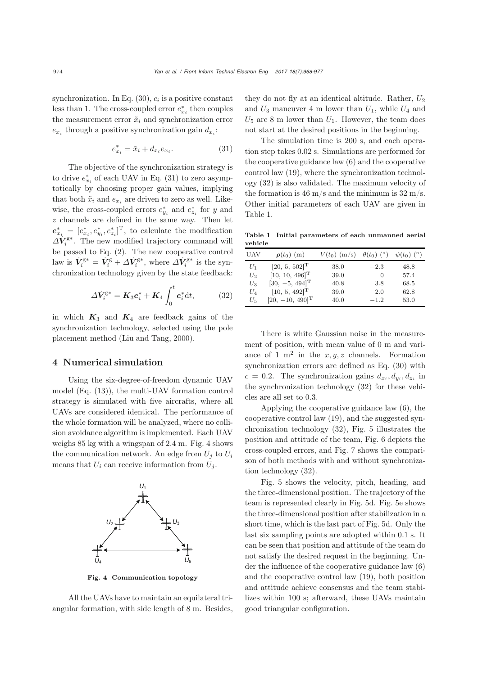synchronization. In Eq.  $(30)$ ,  $c_i$  is a positive constant less than 1. The cross-coupled error  $e_{x_i}^*$  then couples the measurement error  $\tilde{x}_i$  and synchronization error  $e_{x_i}$  through a positive synchronization gain  $d_{x_i}$ :

$$
e_{x_i}^* = \tilde{x}_i + d_{x_i} e_{x_i}.
$$
\n
$$
(31)
$$

The objective of the synchronization strategy is to drive  $e_{x_i}^*$  of each UAV in Eq. (31) to zero asymptotically by choosing proper gain values, implying that both  $\tilde{x}_i$  and  $e_{x_i}$  are driven to zero as well. Likewise, the cross-coupled errors  $e_{y_i}^*$  and  $e_{z_i}^*$  for y and  $\boldsymbol{z}$  channels are defined in the same way. Then let  $e_{x_i}^* = [e_{x_i}^*, e_{y_i}^*, e_{z_i}^*]^T$ , to calculate the modification  $\Delta V_i^{\rm g*}$ . The new modified trajectory command will be passed to Eq. (2). The new cooperative control law is  $\dot{V}_i^{\text{g}*} = \dot{V}_i^{\text{g}} + \Delta \dot{V}_i^{\text{g}*}$ , where  $\Delta \dot{V}_i^{\text{g}*}$  is the synchronization technology given by the state feedback:

$$
\Delta \dot{V}_i^{\mathrm{g}*} = \mathbf{K}_3 \mathbf{e}_i^* + \mathbf{K}_4 \int_0^t \mathbf{e}_i^* \mathrm{d}t,\tag{32}
$$

in which  $K_3$  and  $K_4$  are feedback gains of the synchronization technology, selected using the pole placement method [\(Liu and Tang](#page-9-21), [2000](#page-9-21)).

## 4 Numerical simulation

Using the six-degree-of-freedom dynamic UAV model (Eq. (13)), the multi-UAV formation control strategy is simulated with five aircrafts, where all UAVs are considered identical. The performance of the whole formation will be analyzed, where no collision avoidance algorithm is implemented. Each UAV weighs 85 kg with a wingspan of 2.4 m. Fig. 4 shows the communication network. An edge from  $U_j$  to  $U_i$ means that  $U_i$  can receive information from  $U_j$ .



Fig. 4 Communication topology

All the UAVs have to maintain an equilateral triangular formation, with side length of 8 m. Besides,

they do not fly at an identical altitude. Rather,  $U_2$ and  $U_3$  maneuver 4 m lower than  $U_1$ , while  $U_4$  and  $U_5$  are 8 m lower than  $U_1$ . However, the team does not start at the desired positions in the beginning.

The simulation time is 200 s, and each operation step takes 0.02 s. Simulations are performed for the cooperative guidance law (6) and the cooperative control law (19), where the synchronization technology (32) is also validated. The maximum velocity of the formation is 46 m/s and the minimum is  $32 \text{ m/s}$ . Other initial parameters of each UAV are given in Table 1.

Table 1 Initial parameters of each unmanned aerial vehicle

| UAV   | $\rho(t_0)$ (m)               | $V(t_0)$ (m/s) | $\theta(t_0)$ (°) | $\psi(t_0)$ (°) |
|-------|-------------------------------|----------------|-------------------|-----------------|
| $U_1$ | $[20, 5, 502]$ <sup>T</sup>   | 38.0           | $-2.3$            | 48.8            |
| $U_2$ | $[10, 10, 496]$ <sup>T</sup>  | 39.0           | $\left( \right)$  | 57.4            |
| $U_3$ | $[30, -5, 494]$ <sup>T</sup>  | 40.8           | 3.8               | 68.5            |
| $U_4$ | $[10, 5, 492]$ <sup>T</sup>   | 39.0           | 2.0               | 62.8            |
| $U_5$ | $[20, -10, 490]$ <sup>T</sup> | 40.0           | $-1.2$            | 53.0            |

There is white Gaussian noise in the measurement of position, with mean value of 0 m and variance of 1 m<sup>2</sup> in the  $x, y, z$  channels. Formation synchronization errors are defined as Eq. (30) with  $c = 0.2$ . The synchronization gains  $d_{x_i}, d_{y_i}, d_{z_i}$  in the synchronization technology (32) for these vehicles are all set to 0.3.

Applying the cooperative guidance law (6), the cooperative control law (19), and the suggested synchronization technology (32), Fig. 5 illustrates the position and attitude of the team, Fig. 6 depicts the cross-coupled errors, and Fig. 7 shows the comparison of both methods with and without synchronization technology (32).

Fig. 5 shows the velocity, pitch, heading, and the three-dimensional position. The trajectory of the team is represented clearly in Fig. 5d. Fig. 5e shows the three-dimensional position after stabilization in a short time, which is the last part of Fig. 5d. Only the last six sampling points are adopted within 0.1 s. It can be seen that position and attitude of the team do not satisfy the desired request in the beginning. Under the influence of the cooperative guidance law (6) and the cooperative control law (19), both position and attitude achieve consensus and the team stabilizes within 100 s; afterward, these UAVs maintain good triangular configuration.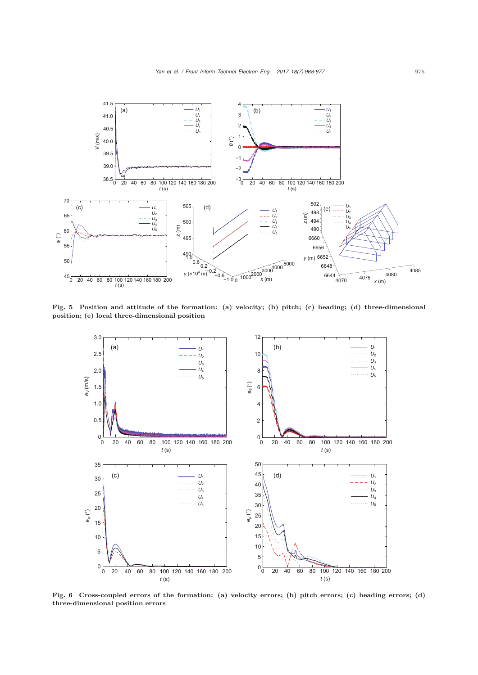

Fig. 5 Position and attitude of the formation: (a) velocity; (b) pitch; (c) heading; (d) three-dimensional position; (e) local three-dimensional position



Fig. 6 Cross-coupled errors of the formation: (a) velocity errors; (b) pitch errors; (c) heading errors; (d) three-dimensional position errors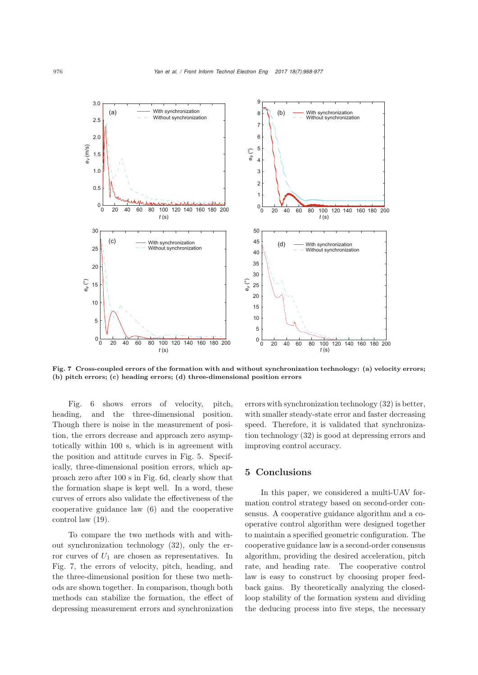

Fig. 7 Cross-coupled errors of the formation with and without synchronization technology: (a) velocity errors; (b) pitch errors; (c) heading errors; (d) three-dimensional position errors

Fig. 6 shows errors of velocity, pitch, heading, and the three-dimensional position. Though there is noise in the measurement of position, the errors decrease and approach zero asymptotically within 100 s, which is in agreement with the position and attitude curves in Fig. 5. Specifically, three-dimensional position errors, which approach zero after 100 s in Fig. 6d, clearly show that the formation shape is kept well. In a word, these curves of errors also validate the effectiveness of the cooperative guidance law (6) and the cooperative control law (19).

To compare the two methods with and without synchronization technology (32), only the error curves of  $U_1$  are chosen as representatives. In Fig. 7, the errors of velocity, pitch, heading, and the three-dimensional position for these two methods are shown together. In comparison, though both methods can stabilize the formation, the effect of depressing measurement errors and synchronization

errors with synchronization technology (32) is better, with smaller steady-state error and faster decreasing speed. Therefore, it is validated that synchronization technology (32) is good at depressing errors and improving control accuracy.

## 5 Conclusions

In this paper, we considered a multi-UAV formation control strategy based on second-order consensus. A cooperative guidance algorithm and a cooperative control algorithm were designed together to maintain a specified geometric configuration. The cooperative guidance law is a second-order consensus algorithm, providing the desired acceleration, pitch rate, and heading rate. The cooperative control law is easy to construct by choosing proper feedback gains. By theoretically analyzing the closedloop stability of the formation system and dividing the deducing process into five steps, the necessary